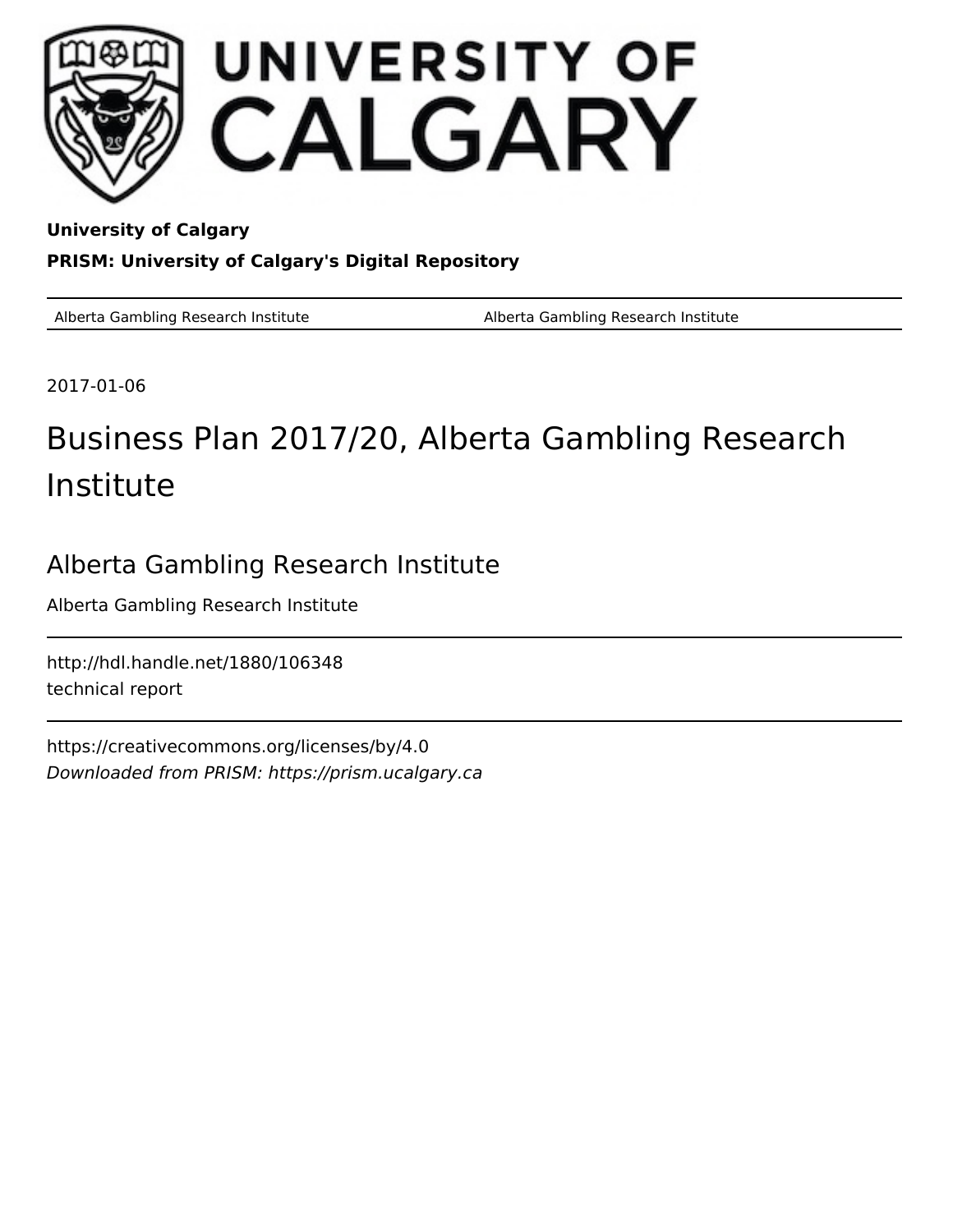

**University of Calgary PRISM: University of Calgary's Digital Repository**

Alberta Gambling Research Institute **Alberta Gambling Research Institute** Alberta Gambling Research Institute

2017-01-06

# Business Plan 2017/20, Alberta Gambling Research Institute

# Alberta Gambling Research Institute

Alberta Gambling Research Institute

http://hdl.handle.net/1880/106348 technical report

https://creativecommons.org/licenses/by/4.0 Downloaded from PRISM: https://prism.ucalgary.ca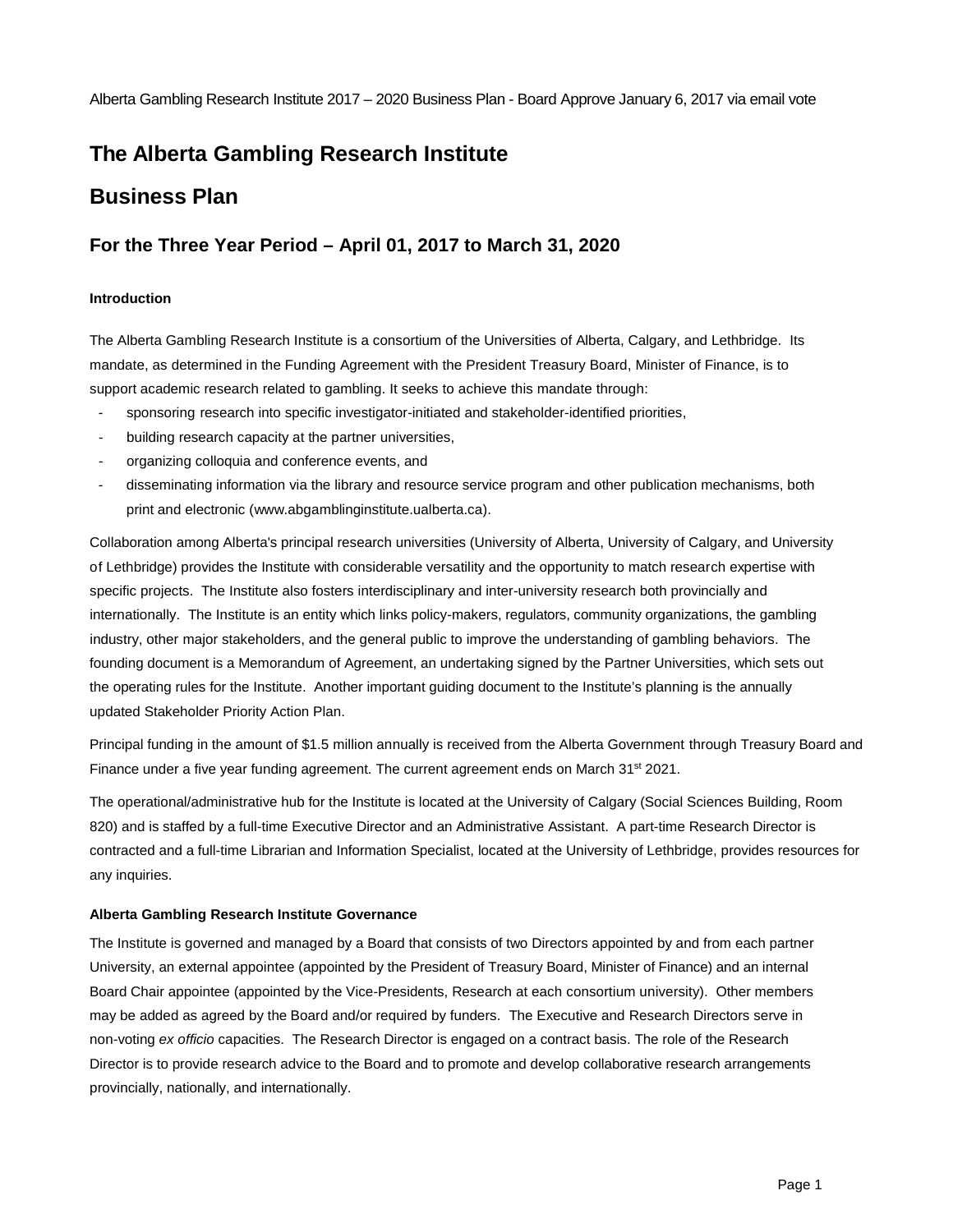# **The Alberta Gambling Research Institute**

## **Business Plan**

### **For the Three Year Period – April 01, 2017 to March 31, 2020**

#### **Introduction**

The Alberta Gambling Research Institute is a consortium of the Universities of Alberta, Calgary, and Lethbridge. Its mandate, as determined in the Funding Agreement with the President Treasury Board, Minister of Finance, is to support academic research related to gambling. It seeks to achieve this mandate through:

- sponsoring research into specific investigator-initiated and stakeholder-identified priorities,
- building research capacity at the partner universities,
- organizing colloquia and conference events, and
- disseminating information via the library and resource service program and other publication mechanisms, both print and electronic (www.abgamblinginstitute.ualberta.ca).

Collaboration among Alberta's principal research universities (University of Alberta, University of Calgary, and University of Lethbridge) provides the Institute with considerable versatility and the opportunity to match research expertise with specific projects. The Institute also fosters interdisciplinary and inter-university research both provincially and internationally. The Institute is an entity which links policy-makers, regulators, community organizations, the gambling industry, other major stakeholders, and the general public to improve the understanding of gambling behaviors. The founding document is a Memorandum of Agreement, an undertaking signed by the Partner Universities, which sets out the operating rules for the Institute. Another important guiding document to the Institute's planning is the annually updated Stakeholder Priority Action Plan.

Principal funding in the amount of \$1.5 million annually is received from the Alberta Government through Treasury Board and Finance under a five year funding agreement. The current agreement ends on March 31<sup>st</sup> 2021.

The operational/administrative hub for the Institute is located at the University of Calgary (Social Sciences Building, Room 820) and is staffed by a full-time Executive Director and an Administrative Assistant. A part-time Research Director is contracted and a full-time Librarian and Information Specialist, located at the University of Lethbridge, provides resources for any inquiries.

#### **Alberta Gambling Research Institute Governance**

The Institute is governed and managed by a Board that consists of two Directors appointed by and from each partner University, an external appointee (appointed by the President of Treasury Board, Minister of Finance) and an internal Board Chair appointee (appointed by the Vice-Presidents, Research at each consortium university). Other members may be added as agreed by the Board and/or required by funders. The Executive and Research Directors serve in non-voting *ex officio* capacities. The Research Director is engaged on a contract basis. The role of the Research Director is to provide research advice to the Board and to promote and develop collaborative research arrangements provincially, nationally, and internationally.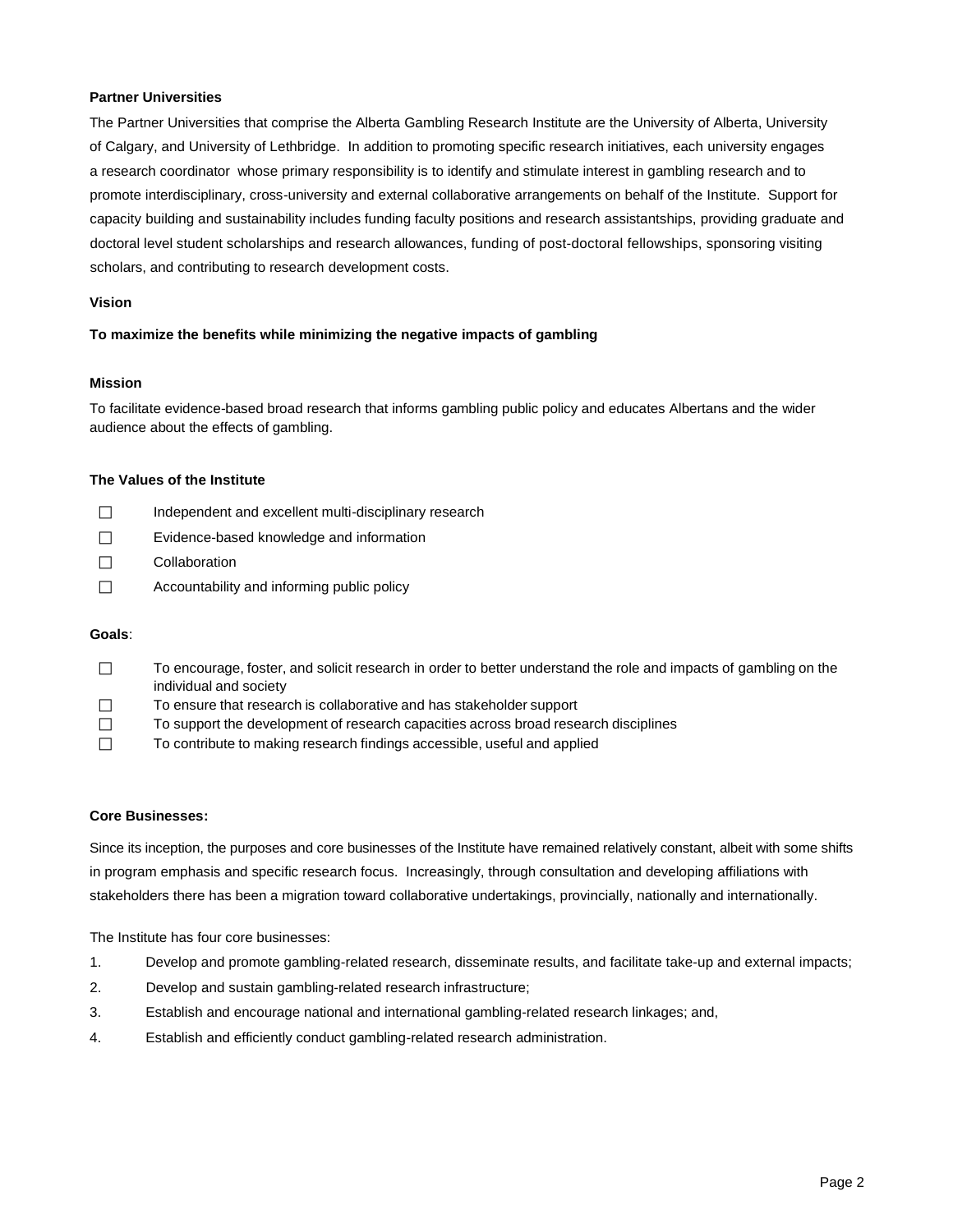#### **Partner Universities**

The Partner Universities that comprise the Alberta Gambling Research Institute are the University of Alberta, University of Calgary, and University of Lethbridge. In addition to promoting specific research initiatives, each university engages a research coordinator whose primary responsibility is to identify and stimulate interest in gambling research and to promote interdisciplinary, cross-university and external collaborative arrangements on behalf of the Institute. Support for capacity building and sustainability includes funding faculty positions and research assistantships, providing graduate and doctoral level student scholarships and research allowances, funding of post-doctoral fellowships, sponsoring visiting scholars, and contributing to research development costs.

#### **Vision**

#### **To maximize the benefits while minimizing the negative impacts of gambling**

#### **Mission**

To facilitate evidence-based broad research that informs gambling public policy and educates Albertans and the wider audience about the effects of gambling.

#### **The Values of the Institute**

- $\Box$  Independent and excellent multi-disciplinary research
- □ Evidence-based knowledge and information
- Collaboration
- $\Box$  Accountability and informing public policy

#### **Goals**:

- $\Box$  To encourage, foster, and solicit research in order to better understand the role and impacts of gambling on the individual and society
- $\Box$  To ensure that research is collaborative and has stakeholder support
- $\Box$  To support the development of research capacities across broad research disciplines
- To contribute to making research findings accessible, useful and applied

#### **Core Businesses:**

Since its inception, the purposes and core businesses of the Institute have remained relatively constant, albeit with some shifts in program emphasis and specific research focus. Increasingly, through consultation and developing affiliations with stakeholders there has been a migration toward collaborative undertakings, provincially, nationally and internationally.

The Institute has four core businesses:

- 1. Develop and promote gambling-related research, disseminate results, and facilitate take-up and external impacts;
- 2. Develop and sustain gambling-related research infrastructure;
- 3. Establish and encourage national and international gambling-related research linkages; and,
- 4. Establish and efficiently conduct gambling-related research administration.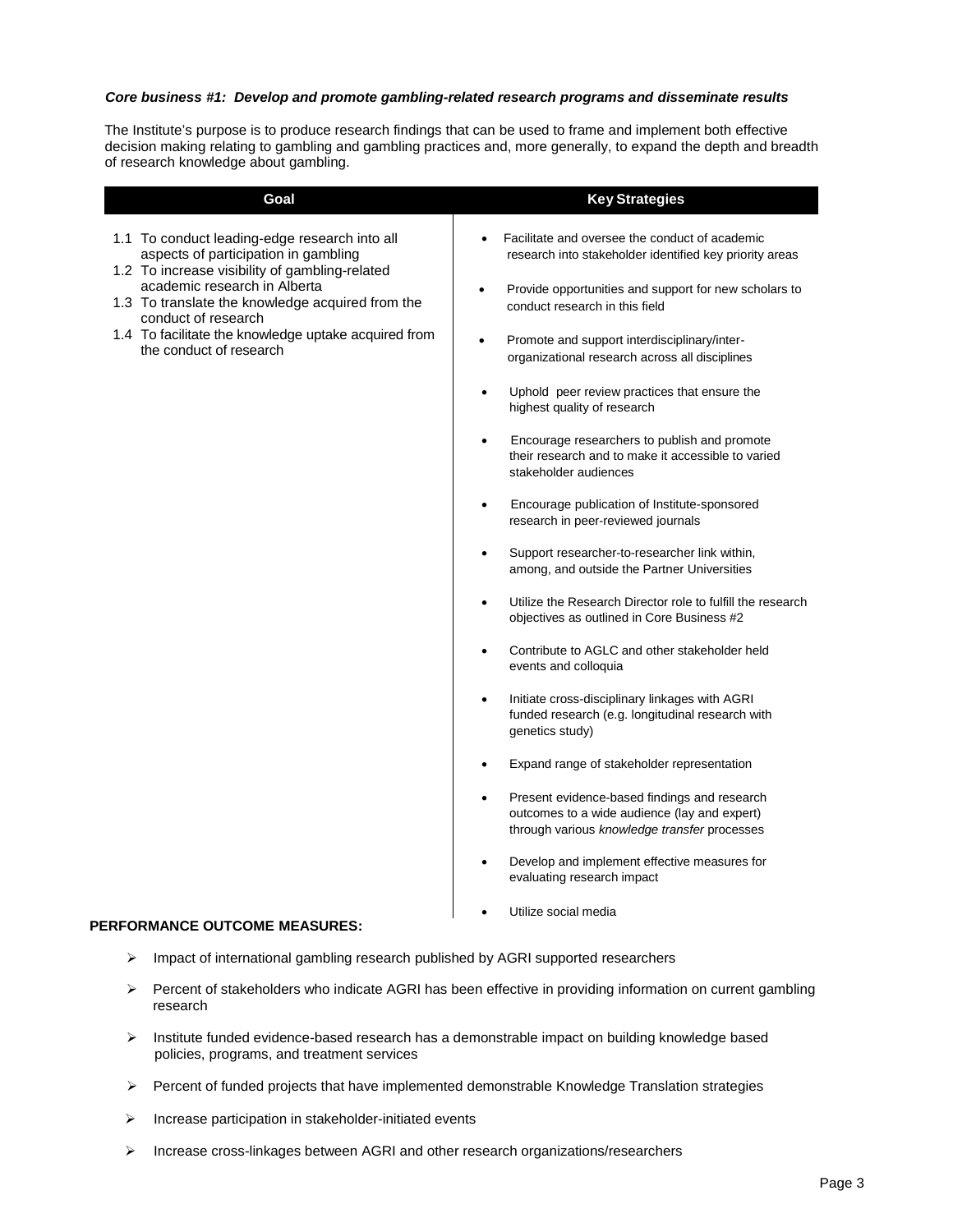#### *Core business #1: Develop and promote gambling-related research programs and disseminate results*

The Institute's purpose is to produce research findings that can be used to frame and implement both effective decision making relating to gambling and gambling practices and, more generally, to expand the depth and breadth of research knowledge about gambling.

| Goal                                                                                                                                                                                                                                               | <b>Key Strategies</b>                                                                                                                                     |
|----------------------------------------------------------------------------------------------------------------------------------------------------------------------------------------------------------------------------------------------------|-----------------------------------------------------------------------------------------------------------------------------------------------------------|
| 1.1 To conduct leading-edge research into all<br>aspects of participation in gambling<br>1.2 To increase visibility of gambling-related<br>academic research in Alberta<br>1.3 To translate the knowledge acquired from the<br>conduct of research | Facilitate and oversee the conduct of academic<br>research into stakeholder identified key priority areas                                                 |
|                                                                                                                                                                                                                                                    | Provide opportunities and support for new scholars to<br>$\bullet$<br>conduct research in this field                                                      |
| 1.4 To facilitate the knowledge uptake acquired from<br>the conduct of research                                                                                                                                                                    | Promote and support interdisciplinary/inter-<br>$\bullet$<br>organizational research across all disciplines                                               |
|                                                                                                                                                                                                                                                    | Uphold peer review practices that ensure the<br>$\bullet$<br>highest quality of research                                                                  |
|                                                                                                                                                                                                                                                    | Encourage researchers to publish and promote<br>their research and to make it accessible to varied<br>stakeholder audiences                               |
|                                                                                                                                                                                                                                                    | Encourage publication of Institute-sponsored<br>$\bullet$<br>research in peer-reviewed journals                                                           |
|                                                                                                                                                                                                                                                    | Support researcher-to-researcher link within,<br>$\bullet$<br>among, and outside the Partner Universities                                                 |
|                                                                                                                                                                                                                                                    | Utilize the Research Director role to fulfill the research<br>$\bullet$<br>objectives as outlined in Core Business #2                                     |
|                                                                                                                                                                                                                                                    | Contribute to AGLC and other stakeholder held<br>$\bullet$<br>events and colloquia                                                                        |
|                                                                                                                                                                                                                                                    | Initiate cross-disciplinary linkages with AGRI<br>$\bullet$<br>funded research (e.g. longitudinal research with<br>genetics study)                        |
|                                                                                                                                                                                                                                                    | Expand range of stakeholder representation                                                                                                                |
|                                                                                                                                                                                                                                                    | Present evidence-based findings and research<br>$\bullet$<br>outcomes to a wide audience (lay and expert)<br>through various knowledge transfer processes |
|                                                                                                                                                                                                                                                    | Develop and implement effective measures for<br>evaluating research impact                                                                                |
|                                                                                                                                                                                                                                                    | Utilize social media                                                                                                                                      |

#### **PERFORMANCE OUTCOME MEASURES:**

- > Impact of international gambling research published by AGRI supported researchers
- $\triangleright$  Percent of stakeholders who indicate AGRI has been effective in providing information on current gambling research
- $\triangleright$  Institute funded evidence-based research has a demonstrable impact on building knowledge based policies, programs, and treatment services
- $\triangleright$  Percent of funded projects that have implemented demonstrable Knowledge Translation strategies
- $\triangleright$  Increase participation in stakeholder-initiated events
- $\triangleright$  Increase cross-linkages between AGRI and other research organizations/researchers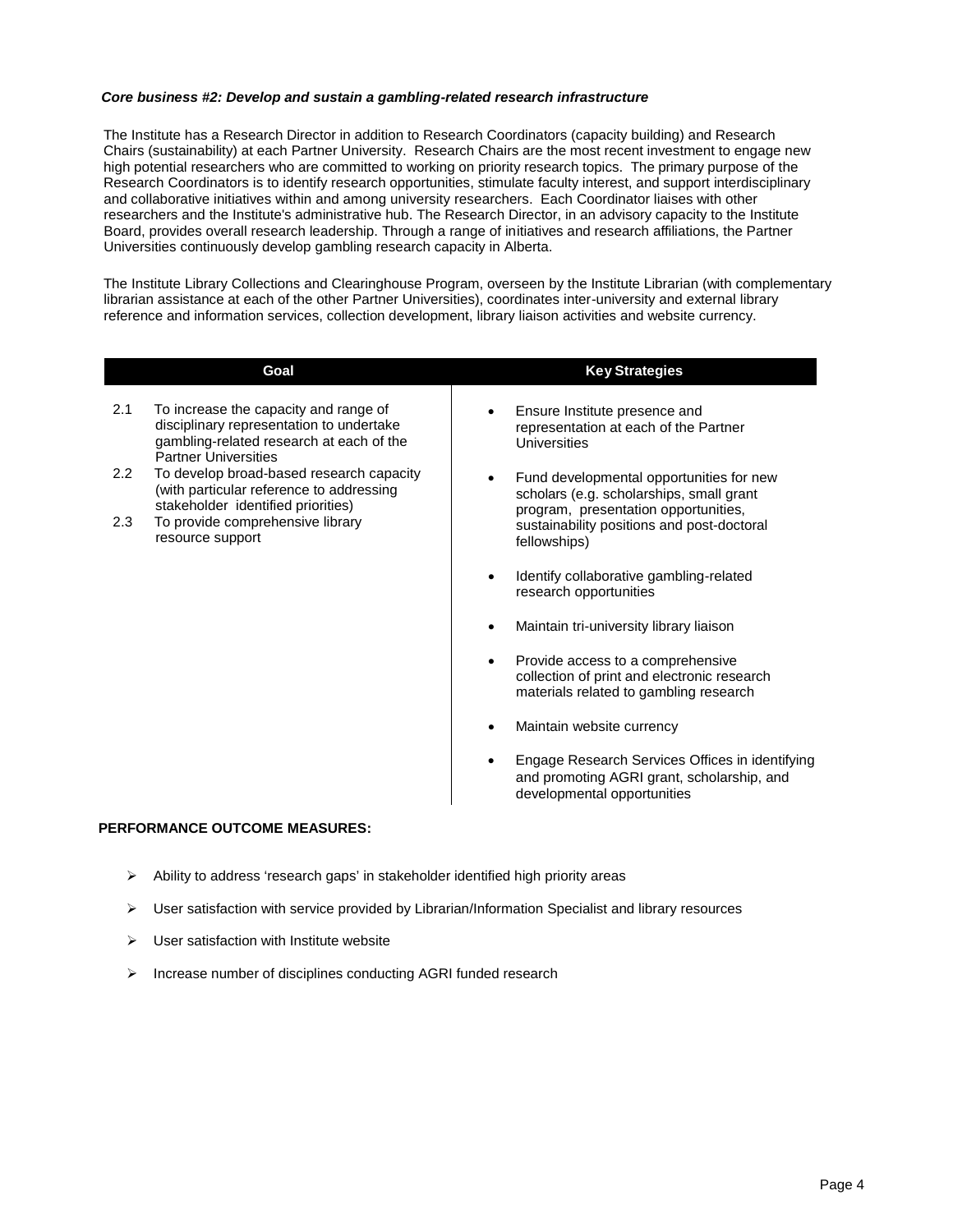#### *Core business #2: Develop and sustain a gambling-related research infrastructure*

The Institute has a Research Director in addition to Research Coordinators (capacity building) and Research Chairs (sustainability) at each Partner University. Research Chairs are the most recent investment to engage new high potential researchers who are committed to working on priority research topics. The primary purpose of the Research Coordinators is to identify research opportunities, stimulate faculty interest, and support interdisciplinary and collaborative initiatives within and among university researchers. Each Coordinator liaises with other researchers and the Institute's administrative hub. The Research Director, in an advisory capacity to the Institute Board, provides overall research leadership. Through a range of initiatives and research affiliations, the Partner Universities continuously develop gambling research capacity in Alberta.

The Institute Library Collections and Clearinghouse Program, overseen by the Institute Librarian (with complementary librarian assistance at each of the other Partner Universities), coordinates inter-university and external library reference and information services, collection development, library liaison activities and website currency.

|         | Goal                                                                                                                                                         | <b>Key Strategies</b>                                                                                                                     |
|---------|--------------------------------------------------------------------------------------------------------------------------------------------------------------|-------------------------------------------------------------------------------------------------------------------------------------------|
| 2.1     | To increase the capacity and range of<br>disciplinary representation to undertake<br>gambling-related research at each of the<br><b>Partner Universities</b> | Ensure Institute presence and<br>$\bullet$<br>representation at each of the Partner<br>Universities                                       |
| $2.2\,$ | To develop broad-based research capacity<br>(with particular reference to addressing<br>stakeholder identified priorities)                                   | Fund developmental opportunities for new<br>$\bullet$<br>scholars (e.g. scholarships, small grant                                         |
| 2.3     | To provide comprehensive library<br>resource support                                                                                                         | program, presentation opportunities,<br>sustainability positions and post-doctoral<br>fellowships)                                        |
|         |                                                                                                                                                              | Identify collaborative gambling-related<br>$\bullet$<br>research opportunities                                                            |
|         |                                                                                                                                                              | Maintain tri-university library liaison                                                                                                   |
|         |                                                                                                                                                              | Provide access to a comprehensive<br>$\bullet$<br>collection of print and electronic research<br>materials related to gambling research   |
|         |                                                                                                                                                              | Maintain website currency                                                                                                                 |
|         |                                                                                                                                                              | Engage Research Services Offices in identifying<br>$\bullet$<br>and promoting AGRI grant, scholarship, and<br>developmental opportunities |

#### **PERFORMANCE OUTCOME MEASURES:**

- $\triangleright$  Ability to address 'research gaps' in stakeholder identified high priority areas
- $\triangleright$  User satisfaction with service provided by Librarian/Information Specialist and library resources
- $\triangleright$  User satisfaction with Institute website
- $\triangleright$  Increase number of disciplines conducting AGRI funded research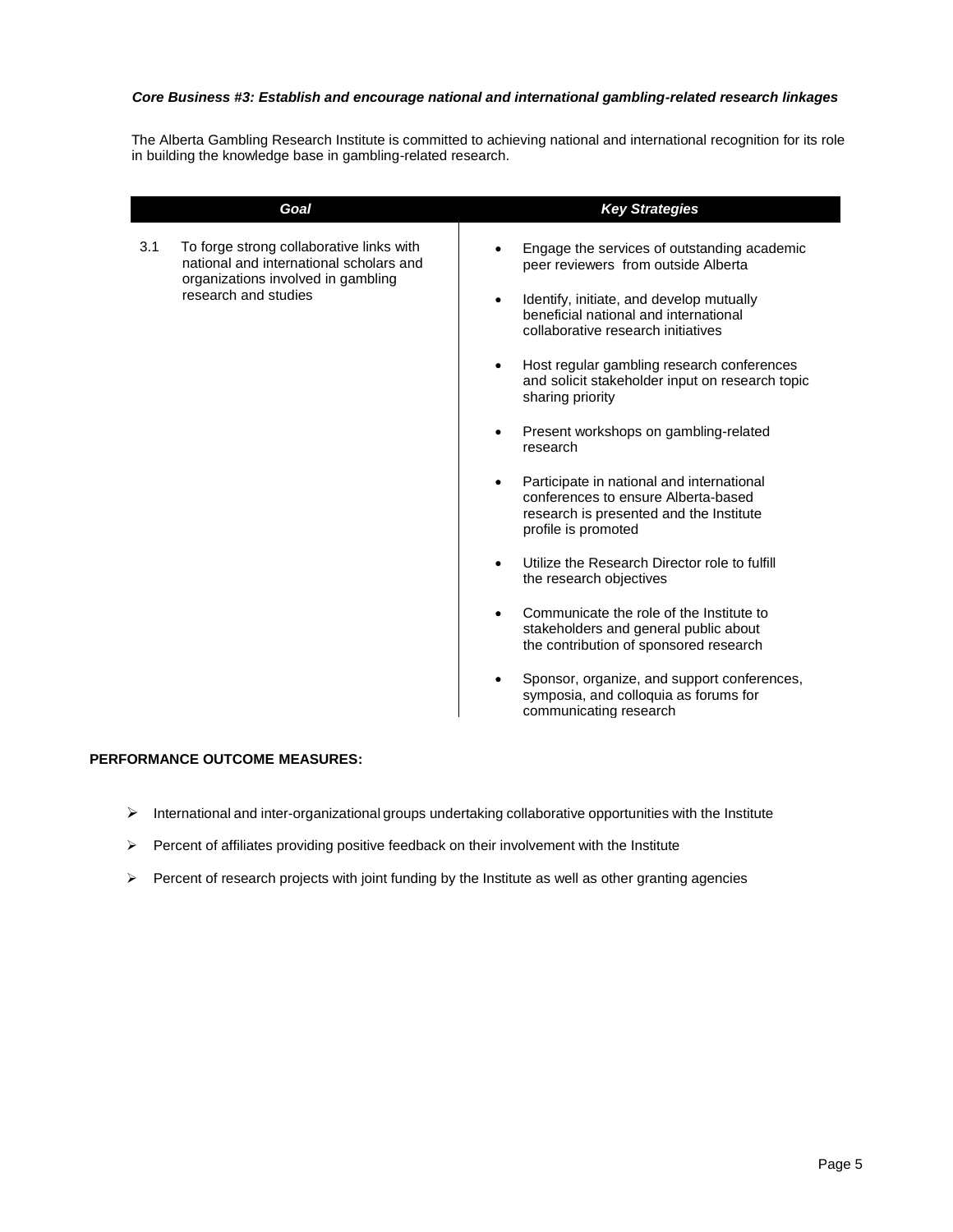#### *Core Business #3: Establish and encourage national and international gambling-related research linkages*

The Alberta Gambling Research Institute is committed to achieving national and international recognition for its role in building the knowledge base in gambling-related research.

| Goal                                                                                                                                                     | <b>Key Strategies</b>                                                                                                                                                                                                                                                                                                                                                                                                                                                                                                                                                                                                                                                                                                                                                                                                                                                                                             |
|----------------------------------------------------------------------------------------------------------------------------------------------------------|-------------------------------------------------------------------------------------------------------------------------------------------------------------------------------------------------------------------------------------------------------------------------------------------------------------------------------------------------------------------------------------------------------------------------------------------------------------------------------------------------------------------------------------------------------------------------------------------------------------------------------------------------------------------------------------------------------------------------------------------------------------------------------------------------------------------------------------------------------------------------------------------------------------------|
| To forge strong collaborative links with<br>3.1<br>national and international scholars and<br>organizations involved in gambling<br>research and studies | Engage the services of outstanding academic<br>peer reviewers from outside Alberta<br>Identify, initiate, and develop mutually<br>$\bullet$<br>beneficial national and international<br>collaborative research initiatives<br>Host regular gambling research conferences<br>and solicit stakeholder input on research topic<br>sharing priority<br>Present workshops on gambling-related<br>$\bullet$<br>research<br>Participate in national and international<br>$\bullet$<br>conferences to ensure Alberta-based<br>research is presented and the Institute<br>profile is promoted<br>Utilize the Research Director role to fulfill<br>the research objectives<br>Communicate the role of the Institute to<br>stakeholders and general public about<br>the contribution of sponsored research<br>Sponsor, organize, and support conferences,<br>symposia, and colloquia as forums for<br>communicating research |

#### **PERFORMANCE OUTCOME MEASURES:**

- $\triangleright$  International and inter-organizational groups undertaking collaborative opportunities with the Institute
- $\triangleright$  Percent of affiliates providing positive feedback on their involvement with the Institute
- $\triangleright$  Percent of research projects with joint funding by the Institute as well as other granting agencies